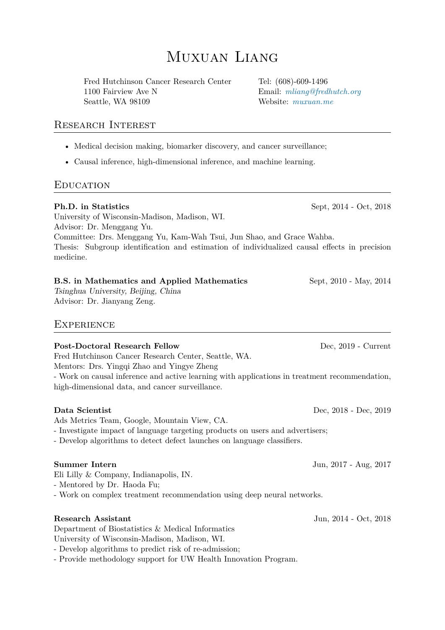# Muxuan Liang

Fred Hutchinson Cancer Research Center Tel: (608)-609-1496 1100 Fairview Ave N Email: *mliang@fredhutch.org* Seattle, WA 98109 Website: *muxuan.me*

### Research Interest

- Medical decision making, biomarker discovery, and cancer su[rveillance;](https://www.muxuan.me)
- Causal inference, high-dimensional inference, and machine learning.

## **EDUCATION**

#### **Ph.D. in Statistics** Sept, 2014 - Oct, 2018

University of Wisconsin-Madison, Madison, WI. Advisor: Dr. Menggang Yu. Committee: Drs. Menggang Yu, Kam-Wah Tsui, Jun Shao, and Grace Wahba. Thesis: Subgroup identification and estimation of individualized causal effects in precision medicine.

#### **B.S. in Mathematics and Applied Mathematics Sept. 2010 - May, 2014**

*Tsinghua University, Beijing, China* Advisor: Dr. Jianyang Zeng.

### **EXPERIENCE**

#### Post-Doctoral Research Fellow Dec, 2019 - Current

Fred Hutchinson Cancer Research Center, Seattle, WA.

Mentors: Drs. Yingqi Zhao and Yingye Zheng

- Work on causal inference and active learning with applications in treatment recommendation, high-dimensional data, and cancer surveillance.

#### **Data Scientist** Dec, 2018 - Dec, 2019

Ads Metrics Team, Google, Mountain View, CA.

- Investigate impact of language targeting products on users and advertisers;

- Develop algorithms to detect defect launches on language classifiers.

#### **Summer Intern** Jun, 2017 - Aug, 2017

Eli Lilly & Company, Indianapolis, IN.

- Mentored by Dr. Haoda Fu;

- Work on complex treatment recommendation using deep neural networks.

#### **Research Assistant** Jun, 2014 - Oct, 2018

Department of Biostatistics & Medical Informatics

University of Wisconsin-Madison, Madison, WI.

- Develop algorithms to predict risk of re-admission;

- Provide methodology support for UW Health Innovation Program.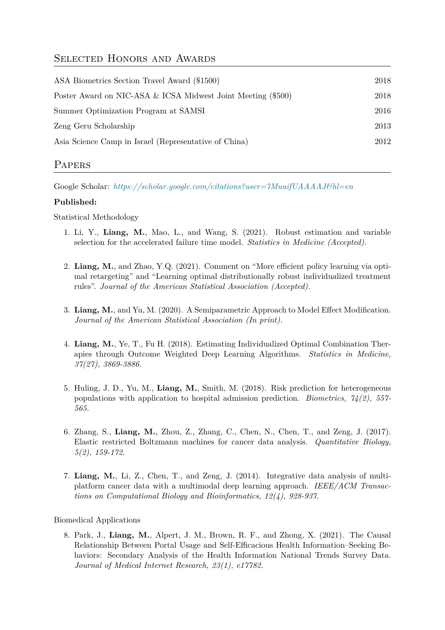## SELECTED HONORS AND AWARDS

| ASA Biometrics Section Travel Award (\$1500)                 | 2018 |
|--------------------------------------------------------------|------|
| Poster Award on NIC-ASA & ICSA Midwest Joint Meeting (\$500) | 2018 |
| Summer Optimization Program at SAMSI                         | 2016 |
| Zeng Geru Scholarship                                        | 2013 |
| Asia Science Camp in Israel (Representative of China)        | 2012 |
|                                                              |      |

## **PAPERS**

Google Scholar: *https://scholar.google.com/citations?user=7MuuifUAAAAJ&hl=en*

#### **Published:**

Statistical Methodology

- 1. Li, Y., **Liang, M.**[, Mao, L., and Wang, S. \(2021\). Robust estimation an](https://scholar.google.com/citations?user=7MuuifUAAAAJ&hl=en)d variable selection for the accelerated failure time model. *Statistics in Medicine (Accepted).*
- 2. **Liang, M.**, and Zhao, Y.Q. (2021). Comment on "More efficient policy learning via optimal retargeting" and "Learning optimal distributionally robust individualized treatment rules". *Journal of the American Statistical Association (Accepted).*
- 3. **Liang, M.**, and Yu, M. (2020). A Semiparametric Approach to Model Effect Modification. *Journal of the American Statistical Association (In print).*
- 4. **Liang, M.**, Ye, T., Fu H. (2018). Estimating Individualized Optimal Combination Therapies through Outcome Weighted Deep Learning Algorithms. *Statistics in Medicine, 37(27), 3869-3886.*
- 5. Huling, J. D., Yu, M., **Liang, M.**, Smith, M. (2018). Risk prediction for heterogeneous populations with application to hospital admission prediction. *Biometrics, 74(2), 557- 565.*
- 6. Zhang, S., **Liang, M.**, Zhou, Z., Zhang, C., Chen, N., Chen, T., and Zeng, J. (2017). Elastic restricted Boltzmann machines for cancer data analysis. *Quantitative Biology, 5(2), 159-172.*
- 7. **Liang, M.**, Li, Z., Chen, T., and Zeng, J. (2014). Integrative data analysis of multiplatform cancer data with a multimodal deep learning approach. *IEEE/ACM Transactions on Computational Biology and Bioinformatics, 12(4), 928-937.*

#### Biomedical Applications

8. Park, J., **Liang, M.**, Alpert, J. M., Brown, R. F., and Zhong, X. (2021). The Causal Relationship Between Portal Usage and Self-Efficacious Health Information–Seeking Behaviors: Secondary Analysis of the Health Information National Trends Survey Data. *Journal of Medical Internet Research, 23(1), e17782.*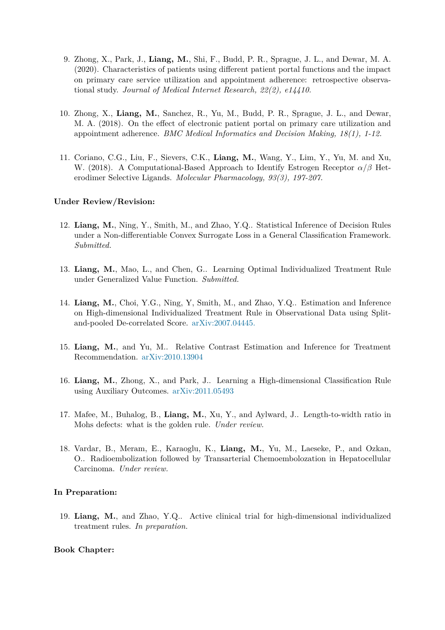- 9. Zhong, X., Park, J., **Liang, M.**, Shi, F., Budd, P. R., Sprague, J. L., and Dewar, M. A. (2020). Characteristics of patients using different patient portal functions and the impact on primary care service utilization and appointment adherence: retrospective observational study. *Journal of Medical Internet Research, 22(2), e14410.*
- 10. Zhong, X., **Liang, M.**, Sanchez, R., Yu, M., Budd, P. R., Sprague, J. L., and Dewar, M. A. (2018). On the effect of electronic patient portal on primary care utilization and appointment adherence. *BMC Medical Informatics and Decision Making, 18(1), 1-12.*
- 11. Coriano, C.G., Liu, F., Sievers, C.K., **Liang, M.**, Wang, Y., Lim, Y., Yu, M. and Xu, W. (2018). A Computational-Based Approach to Identify Estrogen Receptor *α*/*β* Heterodimer Selective Ligands. *Molecular Pharmacology, 93(3), 197-207.*

#### **Under Review/Revision:**

- 12. **Liang, M.**, Ning, Y., Smith, M., and Zhao, Y.Q.. Statistical Inference of Decision Rules under a Non-differentiable Convex Surrogate Loss in a General Classification Framework. *Submitted.*
- 13. **Liang, M.**, Mao, L., and Chen, G.. Learning Optimal Individualized Treatment Rule under Generalized Value Function. *Submitted.*
- 14. **Liang, M.**, Choi, Y.G., Ning, Y, Smith, M., and Zhao, Y.Q.. Estimation and Inference on High-dimensional Individualized Treatment Rule in Observational Data using Splitand-pooled De-correlated Score. arXiv:2007.04445.
- 15. **Liang, M.**, and Yu, M.. Relative Contrast Estimation and Inference for Treatment Recommendation. arXiv:2010.13[904](https://arxiv.org/pdf/2007.04445.pdf)
- 16. **Liang, M.**, Zhong, X., and Park, J.. Learning a High-dimensional Classification Rule using Auxiliary Outcomes. [arXiv:201](https://arxiv.org/pdf/2010.13904.pdf)1.05493
- 17. Mafee, M., Buhalog, B., **Liang, M.**, Xu, Y., and Aylward, J.. Length-to-width ratio in Mohs defects: what is the [golden rule.](https://arxiv.org/pdf/2011.05493.pdf) *Under review.*
- 18. Vardar, B., Meram, E., Karaoglu, K., **Liang, M.**, Yu, M., Laeseke, P., and Ozkan, O.. Radioembolization followed by Transarterial Chemoembolozation in Hepatocellular Carcinoma. *Under review.*

#### **In Preparation:**

19. **Liang, M.**, and Zhao, Y.Q.. Active clinical trial for high-dimensional individualized treatment rules. *In preparation.*

#### **Book Chapter:**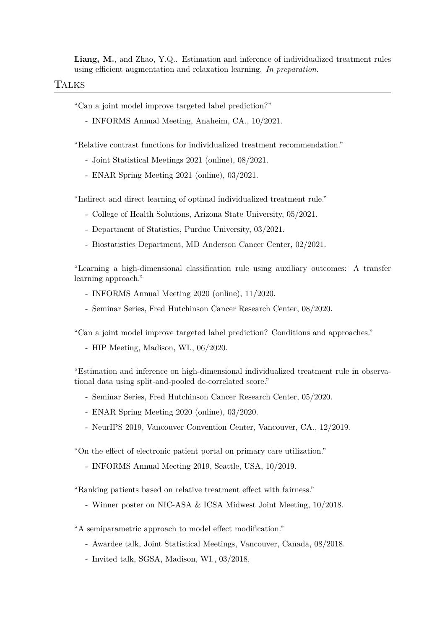**Liang, M.**, and Zhao, Y.Q.. Estimation and inference of individualized treatment rules using efficient augmentation and relaxation learning. *In preparation.*

#### Talks

"Can a joint model improve targeted label prediction?"

- INFORMS Annual Meeting, Anaheim, CA., 10/2021.

"Relative contrast functions for individualized treatment recommendation."

- Joint Statistical Meetings 2021 (online), 08/2021.
- ENAR Spring Meeting 2021 (online), 03/2021.

"Indirect and direct learning of optimal individualized treatment rule."

- College of Health Solutions, Arizona State University, 05/2021.
- Department of Statistics, Purdue University, 03/2021.
- Biostatistics Department, MD Anderson Cancer Center, 02/2021.

"Learning a high-dimensional classification rule using auxiliary outcomes: A transfer learning approach."

- INFORMS Annual Meeting 2020 (online), 11/2020.
- Seminar Series, Fred Hutchinson Cancer Research Center, 08/2020.

"Can a joint model improve targeted label prediction? Conditions and approaches."

- HIP Meeting, Madison, WI., 06/2020.

"Estimation and inference on high-dimensional individualized treatment rule in observational data using split-and-pooled de-correlated score."

- Seminar Series, Fred Hutchinson Cancer Research Center, 05/2020.
- ENAR Spring Meeting 2020 (online), 03/2020.
- NeurIPS 2019, Vancouver Convention Center, Vancouver, CA., 12/2019.

"On the effect of electronic patient portal on primary care utilization."

- INFORMS Annual Meeting 2019, Seattle, USA, 10/2019.

"Ranking patients based on relative treatment effect with fairness."

- Winner poster on NIC-ASA & ICSA Midwest Joint Meeting, 10/2018.
- "A semiparametric approach to model effect modification."
	- Awardee talk, Joint Statistical Meetings, Vancouver, Canada, 08/2018.
	- Invited talk, SGSA, Madison, WI., 03/2018.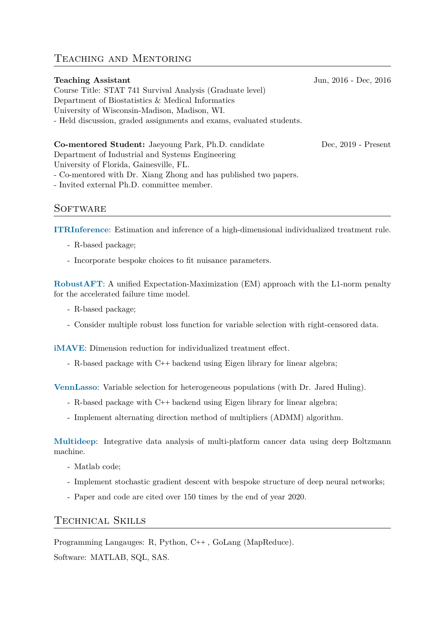# Teaching and Mentoring

# **Teaching Assistant** Jun, 2016 - Dec, 2016 Course Title: STAT 741 Survival Analysis (Graduate level) Department of Biostatistics & Medical Informatics University of Wisconsin-Madison, Madison, WI. - Held discussion, graded assignments and exams, evaluated students. **Co-mentored Student:** Jaeyoung Park, Ph.D. candidate Dec, 2019 - Present Department of Industrial and Systems Engineering University of Florida, Gainesville, FL. - Co-mentored with Dr. Xiang Zhong and has published two papers.

- Invited external Ph.D. committee member.

## **SOFTWARE**

**ITRInference**: Estimation and inference of a high-dimensional individualized treatment rule.

- R-based package;
- [Incorpora](https://github.com/muxuanliang/ITRInference)te bespoke choices to fit nuisance parameters.

**RobustAFT**: A unified Expectation-Maximization (EM) approach with the L1-norm penalty for the accelerated failure time model.

- R-based package;
- [Consider](https://github.com/muxuanliang/RobustAFT) multiple robust loss function for variable selection with right-censored data.

**iMAVE**: Dimension reduction for individualized treatment effect.

- R-based package with C**++** backend using Eigen library for linear algebra;

**[VennLa](https://github.com/muxuanliang/iMAVE)sso**: Variable selection for heterogeneous populations (with Dr. Jared Huling).

- R-based package with C**++** backend using Eigen library for linear algebra;
- [Implem](https://github.com/jaredhuling/vennLasso)ent alternating direction method of multipliers (ADMM) algorithm.

**Multideep**: Integrative data analysis of multi-platform cancer data using deep Boltzmann machine.

- Matlab code;
- [Implem](https://github.com/muxuanliang/multideep)ent stochastic gradient descent with bespoke structure of deep neural networks;
- Paper and code are cited over 150 times by the end of year 2020.

### Technical Skills

Programming Langauges: R, Python, C**++** , GoLang (MapReduce). Software: MATLAB, SQL, SAS.